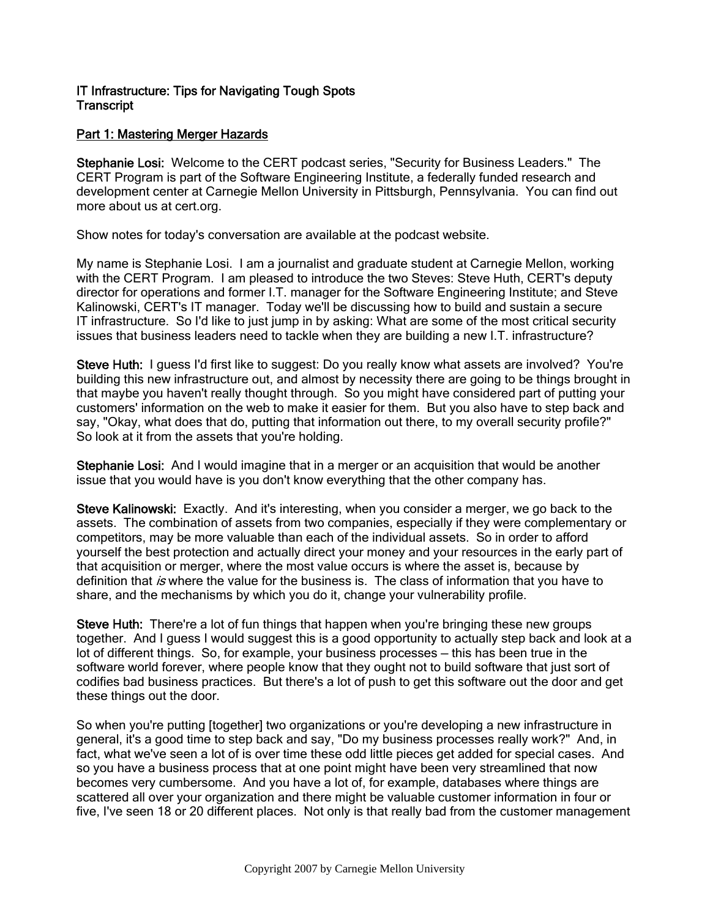# IT Infrastructure: Tips for Navigating Tough Spots **Transcript**

# Part 1: Mastering Merger Hazards

Stephanie Losi: Welcome to the CERT podcast series, "Security for Business Leaders." The CERT Program is part of the Software Engineering Institute, a federally funded research and development center at Carnegie Mellon University in Pittsburgh, Pennsylvania. You can find out more about us at cert.org.

Show notes for today's conversation are available at the podcast website.

My name is Stephanie Losi. I am a journalist and graduate student at Carnegie Mellon, working with the CERT Program. I am pleased to introduce the two Steves: Steve Huth, CERT's deputy director for operations and former I.T. manager for the Software Engineering Institute; and Steve Kalinowski, CERT's IT manager. Today we'll be discussing how to build and sustain a secure IT infrastructure. So I'd like to just jump in by asking: What are some of the most critical security issues that business leaders need to tackle when they are building a new I.T. infrastructure?

Steve Huth: I guess I'd first like to suggest: Do you really know what assets are involved? You're building this new infrastructure out, and almost by necessity there are going to be things brought in that maybe you haven't really thought through. So you might have considered part of putting your customers' information on the web to make it easier for them. But you also have to step back and say, "Okay, what does that do, putting that information out there, to my overall security profile?" So look at it from the assets that you're holding.

Stephanie Losi: And I would imagine that in a merger or an acquisition that would be another issue that you would have is you don't know everything that the other company has.

Steve Kalinowski: Exactly. And it's interesting, when you consider a merger, we go back to the assets. The combination of assets from two companies, especially if they were complementary or competitors, may be more valuable than each of the individual assets. So in order to afford yourself the best protection and actually direct your money and your resources in the early part of that acquisition or merger, where the most value occurs is where the asset is, because by definition that is where the value for the business is. The class of information that you have to share, and the mechanisms by which you do it, change your vulnerability profile.

Steve Huth: There're a lot of fun things that happen when you're bringing these new groups together. And I guess I would suggest this is a good opportunity to actually step back and look at a lot of different things. So, for example, your business processes — this has been true in the software world forever, where people know that they ought not to build software that just sort of codifies bad business practices. But there's a lot of push to get this software out the door and get these things out the door.

So when you're putting [together] two organizations or you're developing a new infrastructure in general, it's a good time to step back and say, "Do my business processes really work?" And, in fact, what we've seen a lot of is over time these odd little pieces get added for special cases. And so you have a business process that at one point might have been very streamlined that now becomes very cumbersome. And you have a lot of, for example, databases where things are scattered all over your organization and there might be valuable customer information in four or five, I've seen 18 or 20 different places. Not only is that really bad from the customer management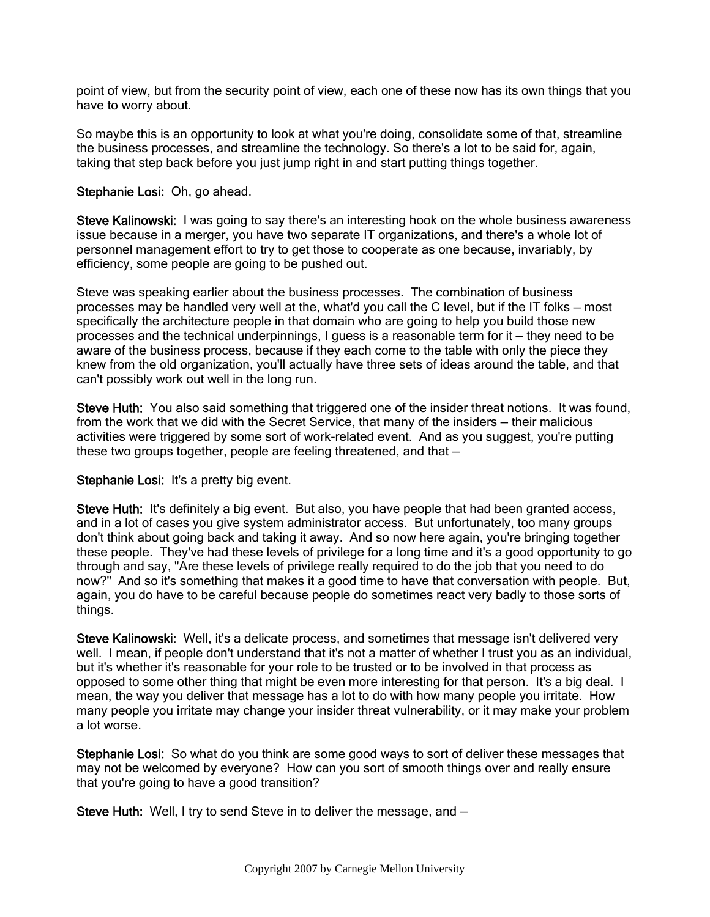point of view, but from the security point of view, each one of these now has its own things that you have to worry about.

So maybe this is an opportunity to look at what you're doing, consolidate some of that, streamline the business processes, and streamline the technology. So there's a lot to be said for, again, taking that step back before you just jump right in and start putting things together.

### Stephanie Losi: Oh, go ahead.

Steve Kalinowski: I was going to say there's an interesting hook on the whole business awareness issue because in a merger, you have two separate IT organizations, and there's a whole lot of personnel management effort to try to get those to cooperate as one because, invariably, by efficiency, some people are going to be pushed out.

Steve was speaking earlier about the business processes. The combination of business processes may be handled very well at the, what'd you call the C level, but if the IT folks — most specifically the architecture people in that domain who are going to help you build those new processes and the technical underpinnings, I guess is a reasonable term for it — they need to be aware of the business process, because if they each come to the table with only the piece they knew from the old organization, you'll actually have three sets of ideas around the table, and that can't possibly work out well in the long run.

Steve Huth: You also said something that triggered one of the insider threat notions. It was found, from the work that we did with the Secret Service, that many of the insiders — their malicious activities were triggered by some sort of work-related event. And as you suggest, you're putting these two groups together, people are feeling threatened, and that —

#### Stephanie Losi: It's a pretty big event.

Steve Huth: It's definitely a big event. But also, you have people that had been granted access, and in a lot of cases you give system administrator access. But unfortunately, too many groups don't think about going back and taking it away. And so now here again, you're bringing together these people. They've had these levels of privilege for a long time and it's a good opportunity to go through and say, "Are these levels of privilege really required to do the job that you need to do now?" And so it's something that makes it a good time to have that conversation with people. But, again, you do have to be careful because people do sometimes react very badly to those sorts of things.

Steve Kalinowski: Well, it's a delicate process, and sometimes that message isn't delivered very well. I mean, if people don't understand that it's not a matter of whether I trust you as an individual, but it's whether it's reasonable for your role to be trusted or to be involved in that process as opposed to some other thing that might be even more interesting for that person. It's a big deal. I mean, the way you deliver that message has a lot to do with how many people you irritate. How many people you irritate may change your insider threat vulnerability, or it may make your problem a lot worse.

Stephanie Losi: So what do you think are some good ways to sort of deliver these messages that may not be welcomed by everyone? How can you sort of smooth things over and really ensure that you're going to have a good transition?

Steve Huth: Well, I try to send Steve in to deliver the message, and —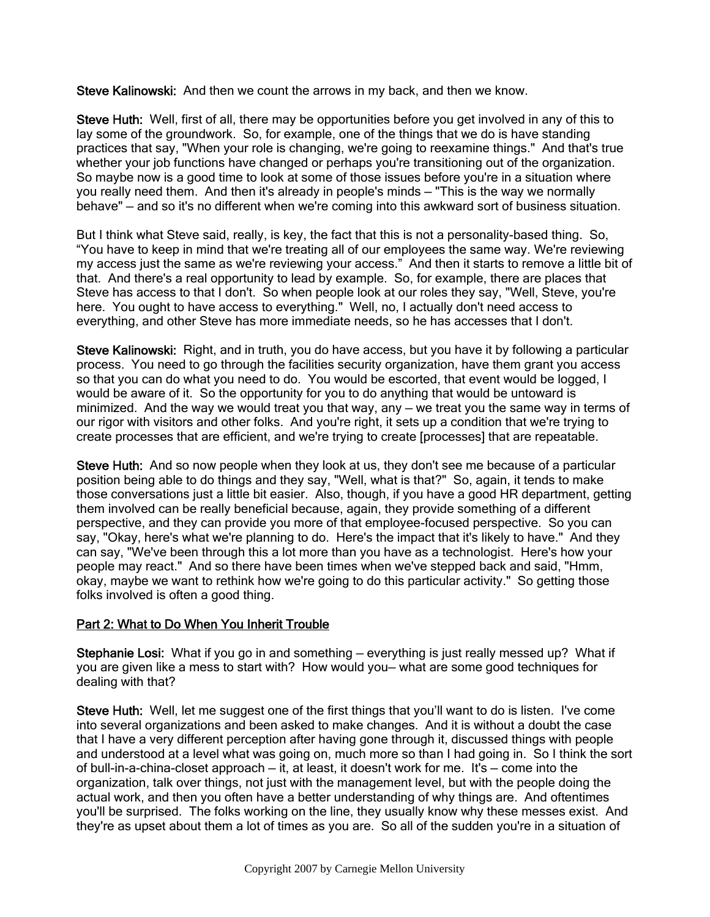Steve Kalinowski: And then we count the arrows in my back, and then we know.

Steve Huth: Well, first of all, there may be opportunities before you get involved in any of this to lay some of the groundwork. So, for example, one of the things that we do is have standing practices that say, "When your role is changing, we're going to reexamine things." And that's true whether your job functions have changed or perhaps you're transitioning out of the organization. So maybe now is a good time to look at some of those issues before you're in a situation where you really need them. And then it's already in people's minds — "This is the way we normally behave" — and so it's no different when we're coming into this awkward sort of business situation.

But I think what Steve said, really, is key, the fact that this is not a personality-based thing. So, "You have to keep in mind that we're treating all of our employees the same way. We're reviewing my access just the same as we're reviewing your access." And then it starts to remove a little bit of that. And there's a real opportunity to lead by example. So, for example, there are places that Steve has access to that I don't. So when people look at our roles they say, "Well, Steve, you're here. You ought to have access to everything." Well, no, I actually don't need access to everything, and other Steve has more immediate needs, so he has accesses that I don't.

Steve Kalinowski: Right, and in truth, you do have access, but you have it by following a particular process. You need to go through the facilities security organization, have them grant you access so that you can do what you need to do. You would be escorted, that event would be logged, I would be aware of it. So the opportunity for you to do anything that would be untoward is minimized. And the way we would treat you that way, any — we treat you the same way in terms of our rigor with visitors and other folks. And you're right, it sets up a condition that we're trying to create processes that are efficient, and we're trying to create [processes] that are repeatable.

Steve Huth: And so now people when they look at us, they don't see me because of a particular position being able to do things and they say, "Well, what is that?" So, again, it tends to make those conversations just a little bit easier. Also, though, if you have a good HR department, getting them involved can be really beneficial because, again, they provide something of a different perspective, and they can provide you more of that employee-focused perspective. So you can say, "Okay, here's what we're planning to do. Here's the impact that it's likely to have." And they can say, "We've been through this a lot more than you have as a technologist. Here's how your people may react." And so there have been times when we've stepped back and said, "Hmm, okay, maybe we want to rethink how we're going to do this particular activity." So getting those folks involved is often a good thing.

# Part 2: What to Do When You Inherit Trouble

Stephanie Losi: What if you go in and something — everything is just really messed up? What if you are given like a mess to start with? How would you— what are some good techniques for dealing with that?

Steve Huth: Well, let me suggest one of the first things that you'll want to do is listen. I've come into several organizations and been asked to make changes. And it is without a doubt the case that I have a very different perception after having gone through it, discussed things with people and understood at a level what was going on, much more so than I had going in. So I think the sort of bull-in-a-china-closet approach — it, at least, it doesn't work for me. It's — come into the organization, talk over things, not just with the management level, but with the people doing the actual work, and then you often have a better understanding of why things are. And oftentimes you'll be surprised. The folks working on the line, they usually know why these messes exist. And they're as upset about them a lot of times as you are. So all of the sudden you're in a situation of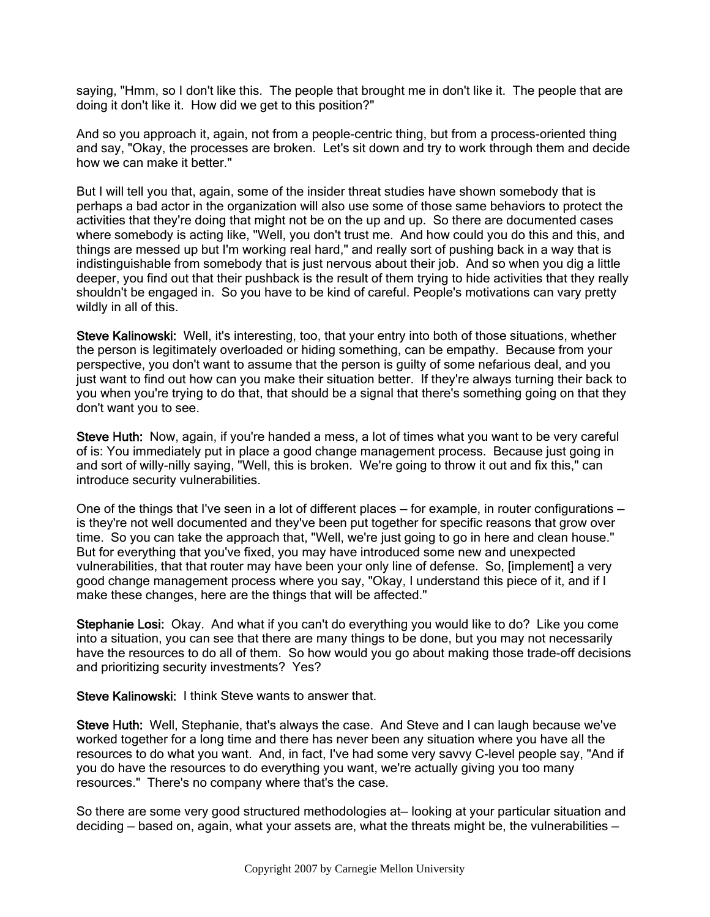saying, "Hmm, so I don't like this. The people that brought me in don't like it. The people that are doing it don't like it. How did we get to this position?"

And so you approach it, again, not from a people-centric thing, but from a process-oriented thing and say, "Okay, the processes are broken. Let's sit down and try to work through them and decide how we can make it better."

But I will tell you that, again, some of the insider threat studies have shown somebody that is perhaps a bad actor in the organization will also use some of those same behaviors to protect the activities that they're doing that might not be on the up and up. So there are documented cases where somebody is acting like, "Well, you don't trust me. And how could you do this and this, and things are messed up but I'm working real hard," and really sort of pushing back in a way that is indistinguishable from somebody that is just nervous about their job. And so when you dig a little deeper, you find out that their pushback is the result of them trying to hide activities that they really shouldn't be engaged in. So you have to be kind of careful. People's motivations can vary pretty wildly in all of this.

Steve Kalinowski: Well, it's interesting, too, that your entry into both of those situations, whether the person is legitimately overloaded or hiding something, can be empathy. Because from your perspective, you don't want to assume that the person is guilty of some nefarious deal, and you just want to find out how can you make their situation better. If they're always turning their back to you when you're trying to do that, that should be a signal that there's something going on that they don't want you to see.

Steve Huth: Now, again, if you're handed a mess, a lot of times what you want to be very careful of is: You immediately put in place a good change management process. Because just going in and sort of willy-nilly saying, "Well, this is broken. We're going to throw it out and fix this," can introduce security vulnerabilities.

One of the things that I've seen in a lot of different places — for example, in router configurations is they're not well documented and they've been put together for specific reasons that grow over time. So you can take the approach that, "Well, we're just going to go in here and clean house." But for everything that you've fixed, you may have introduced some new and unexpected vulnerabilities, that that router may have been your only line of defense. So, [implement] a very good change management process where you say, "Okay, I understand this piece of it, and if I make these changes, here are the things that will be affected."

Stephanie Losi: Okay. And what if you can't do everything you would like to do? Like you come into a situation, you can see that there are many things to be done, but you may not necessarily have the resources to do all of them. So how would you go about making those trade-off decisions and prioritizing security investments? Yes?

Steve Kalinowski: I think Steve wants to answer that.

Steve Huth: Well, Stephanie, that's always the case. And Steve and I can laugh because we've worked together for a long time and there has never been any situation where you have all the resources to do what you want. And, in fact, I've had some very savvy C-level people say, "And if you do have the resources to do everything you want, we're actually giving you too many resources." There's no company where that's the case.

So there are some very good structured methodologies at— looking at your particular situation and deciding — based on, again, what your assets are, what the threats might be, the vulnerabilities —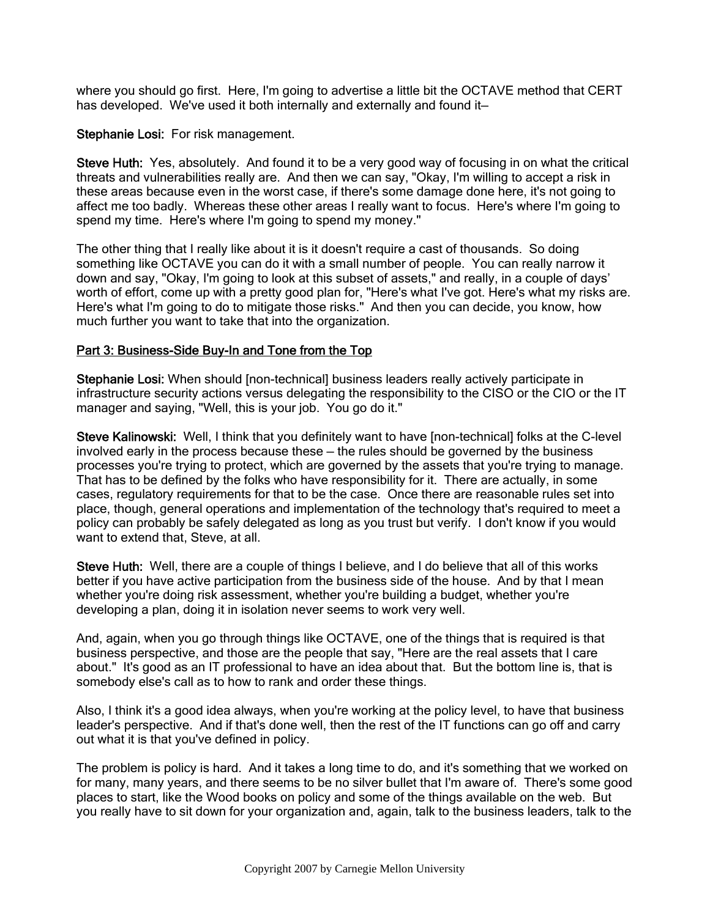where you should go first. Here, I'm going to advertise a little bit the OCTAVE method that CERT has developed. We've used it both internally and externally and found it-

#### Stephanie Losi: For risk management.

Steve Huth: Yes, absolutely. And found it to be a very good way of focusing in on what the critical threats and vulnerabilities really are. And then we can say, "Okay, I'm willing to accept a risk in these areas because even in the worst case, if there's some damage done here, it's not going to affect me too badly. Whereas these other areas I really want to focus. Here's where I'm going to spend my time. Here's where I'm going to spend my money."

The other thing that I really like about it is it doesn't require a cast of thousands. So doing something like OCTAVE you can do it with a small number of people. You can really narrow it down and say, "Okay, I'm going to look at this subset of assets," and really, in a couple of days' worth of effort, come up with a pretty good plan for, "Here's what I've got. Here's what my risks are. Here's what I'm going to do to mitigate those risks." And then you can decide, you know, how much further you want to take that into the organization.

### Part 3: Business-Side Buy-In and Tone from the Top

Stephanie Losi: When should [non-technical] business leaders really actively participate in infrastructure security actions versus delegating the responsibility to the CISO or the CIO or the IT manager and saying, "Well, this is your job. You go do it."

Steve Kalinowski: Well, I think that you definitely want to have [non-technical] folks at the C-level involved early in the process because these — the rules should be governed by the business processes you're trying to protect, which are governed by the assets that you're trying to manage. That has to be defined by the folks who have responsibility for it. There are actually, in some cases, regulatory requirements for that to be the case. Once there are reasonable rules set into place, though, general operations and implementation of the technology that's required to meet a policy can probably be safely delegated as long as you trust but verify. I don't know if you would want to extend that, Steve, at all.

Steve Huth: Well, there are a couple of things I believe, and I do believe that all of this works better if you have active participation from the business side of the house. And by that I mean whether you're doing risk assessment, whether you're building a budget, whether you're developing a plan, doing it in isolation never seems to work very well.

And, again, when you go through things like OCTAVE, one of the things that is required is that business perspective, and those are the people that say, "Here are the real assets that I care about." It's good as an IT professional to have an idea about that. But the bottom line is, that is somebody else's call as to how to rank and order these things.

Also, I think it's a good idea always, when you're working at the policy level, to have that business leader's perspective. And if that's done well, then the rest of the IT functions can go off and carry out what it is that you've defined in policy.

The problem is policy is hard. And it takes a long time to do, and it's something that we worked on for many, many years, and there seems to be no silver bullet that I'm aware of. There's some good places to start, like the Wood books on policy and some of the things available on the web. But you really have to sit down for your organization and, again, talk to the business leaders, talk to the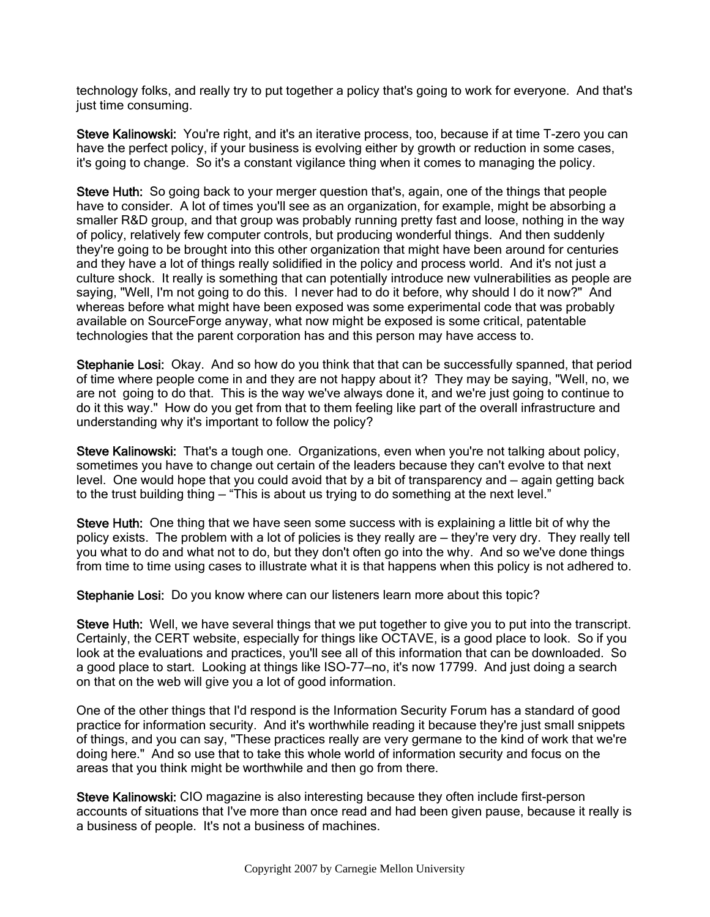technology folks, and really try to put together a policy that's going to work for everyone. And that's just time consuming.

Steve Kalinowski: You're right, and it's an iterative process, too, because if at time T-zero you can have the perfect policy, if your business is evolving either by growth or reduction in some cases, it's going to change. So it's a constant vigilance thing when it comes to managing the policy.

Steve Huth: So going back to your merger question that's, again, one of the things that people have to consider. A lot of times you'll see as an organization, for example, might be absorbing a smaller R&D group, and that group was probably running pretty fast and loose, nothing in the way of policy, relatively few computer controls, but producing wonderful things. And then suddenly they're going to be brought into this other organization that might have been around for centuries and they have a lot of things really solidified in the policy and process world. And it's not just a culture shock. It really is something that can potentially introduce new vulnerabilities as people are saying, "Well, I'm not going to do this. I never had to do it before, why should I do it now?" And whereas before what might have been exposed was some experimental code that was probably available on SourceForge anyway, what now might be exposed is some critical, patentable technologies that the parent corporation has and this person may have access to.

Stephanie Losi: Okay. And so how do you think that that can be successfully spanned, that period of time where people come in and they are not happy about it? They may be saying, "Well, no, we are not going to do that. This is the way we've always done it, and we're just going to continue to do it this way." How do you get from that to them feeling like part of the overall infrastructure and understanding why it's important to follow the policy?

Steve Kalinowski: That's a tough one. Organizations, even when you're not talking about policy, sometimes you have to change out certain of the leaders because they can't evolve to that next level. One would hope that you could avoid that by a bit of transparency and — again getting back to the trust building thing — "This is about us trying to do something at the next level."

Steve Huth: One thing that we have seen some success with is explaining a little bit of why the policy exists. The problem with a lot of policies is they really are — they're very dry. They really tell you what to do and what not to do, but they don't often go into the why. And so we've done things from time to time using cases to illustrate what it is that happens when this policy is not adhered to.

Stephanie Losi: Do you know where can our listeners learn more about this topic?

Steve Huth: Well, we have several things that we put together to give you to put into the transcript. Certainly, the CERT website, especially for things like OCTAVE, is a good place to look. So if you look at the evaluations and practices, you'll see all of this information that can be downloaded. So a good place to start. Looking at things like ISO-77—no, it's now 17799. And just doing a search on that on the web will give you a lot of good information.

One of the other things that I'd respond is the Information Security Forum has a standard of good practice for information security. And it's worthwhile reading it because they're just small snippets of things, and you can say, "These practices really are very germane to the kind of work that we're doing here." And so use that to take this whole world of information security and focus on the areas that you think might be worthwhile and then go from there.

Steve Kalinowski: CIO magazine is also interesting because they often include first-person accounts of situations that I've more than once read and had been given pause, because it really is a business of people. It's not a business of machines.